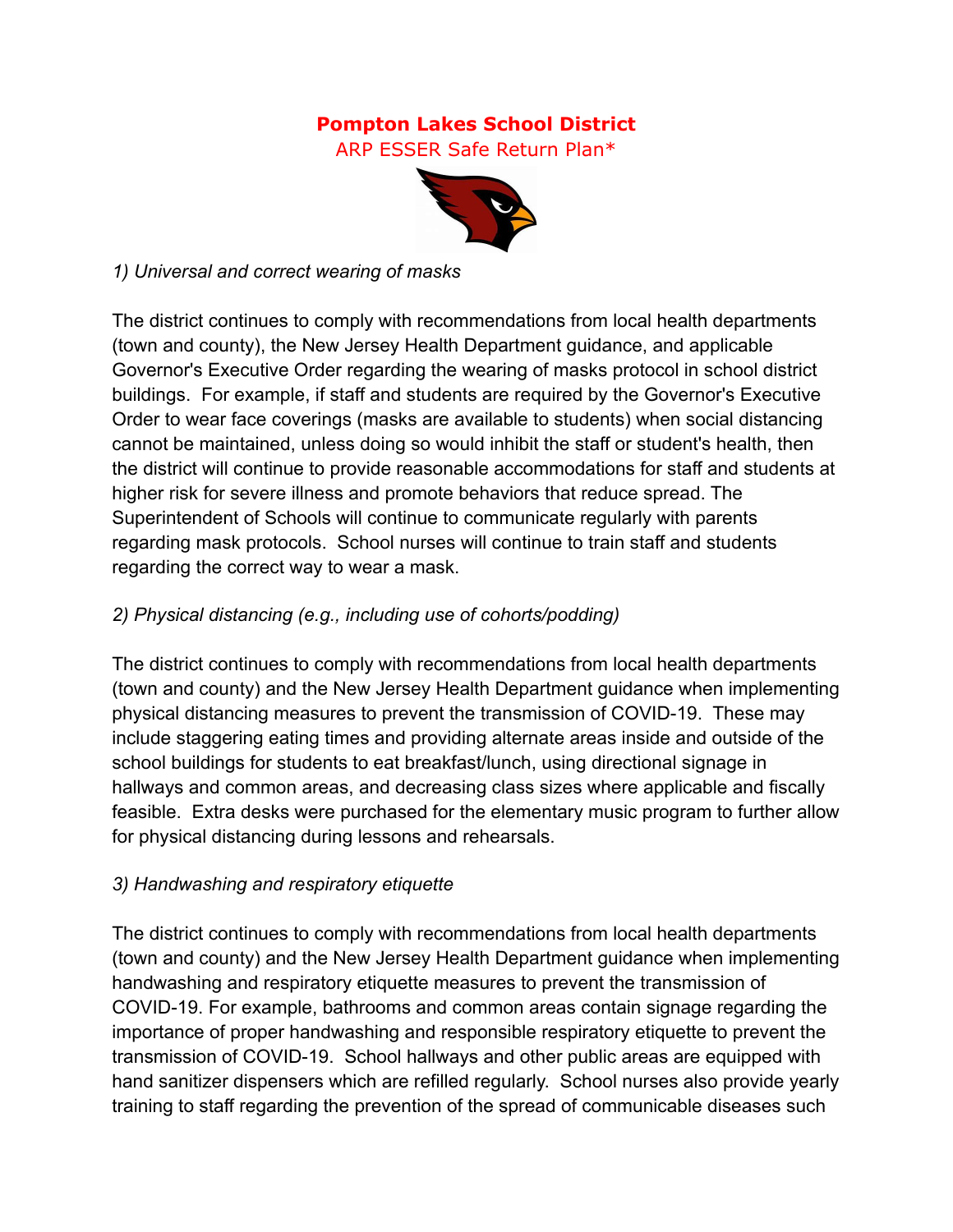# **Pompton Lakes School District**

ARP ESSER Safe Return Plan\*



#### *1) Universal and correct wearing of masks*

The district continues to comply with recommendations from local health departments (town and county), the New Jersey Health Department guidance, and applicable Governor's Executive Order regarding the wearing of masks protocol in school district buildings. For example, if staff and students are required by the Governor's Executive Order to wear face coverings (masks are available to students) when social distancing cannot be maintained, unless doing so would inhibit the staff or student's health, then the district will continue to provide reasonable accommodations for staff and students at higher risk for severe illness and promote behaviors that reduce spread. The Superintendent of Schools will continue to communicate regularly with parents regarding mask protocols. School nurses will continue to train staff and students regarding the correct way to wear a mask.

#### *2) Physical distancing (e.g., including use of cohorts/podding)*

The district continues to comply with recommendations from local health departments (town and county) and the New Jersey Health Department guidance when implementing physical distancing measures to prevent the transmission of COVID-19. These may include staggering eating times and providing alternate areas inside and outside of the school buildings for students to eat breakfast/lunch, using directional signage in hallways and common areas, and decreasing class sizes where applicable and fiscally feasible. Extra desks were purchased for the elementary music program to further allow for physical distancing during lessons and rehearsals.

#### *3) Handwashing and respiratory etiquette*

The district continues to comply with recommendations from local health departments (town and county) and the New Jersey Health Department guidance when implementing handwashing and respiratory etiquette measures to prevent the transmission of COVID-19. For example, bathrooms and common areas contain signage regarding the importance of proper handwashing and responsible respiratory etiquette to prevent the transmission of COVID-19. School hallways and other public areas are equipped with hand sanitizer dispensers which are refilled regularly. School nurses also provide yearly training to staff regarding the prevention of the spread of communicable diseases such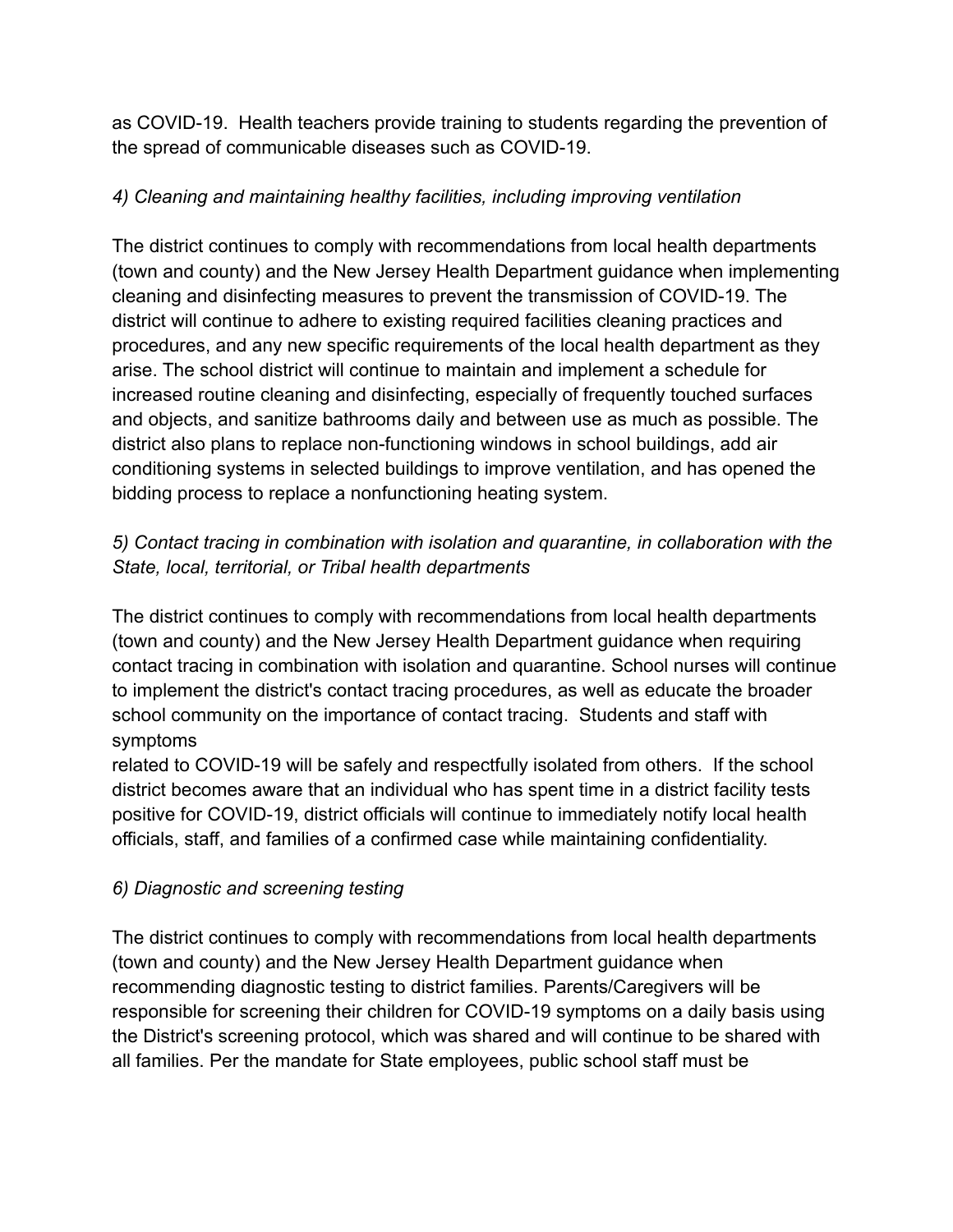as COVID-19. Health teachers provide training to students regarding the prevention of the spread of communicable diseases such as COVID-19.

#### *4) Cleaning and maintaining healthy facilities, including improving ventilation*

The district continues to comply with recommendations from local health departments (town and county) and the New Jersey Health Department guidance when implementing cleaning and disinfecting measures to prevent the transmission of COVID-19. The district will continue to adhere to existing required facilities cleaning practices and procedures, and any new specific requirements of the local health department as they arise. The school district will continue to maintain and implement a schedule for increased routine cleaning and disinfecting, especially of frequently touched surfaces and objects, and sanitize bathrooms daily and between use as much as possible. The district also plans to replace non-functioning windows in school buildings, add air conditioning systems in selected buildings to improve ventilation, and has opened the bidding process to replace a nonfunctioning heating system.

# *5) Contact tracing in combination with isolation and quarantine, in collaboration with the State, local, territorial, or Tribal health departments*

The district continues to comply with recommendations from local health departments (town and county) and the New Jersey Health Department guidance when requiring contact tracing in combination with isolation and quarantine. School nurses will continue to implement the district's contact tracing procedures, as well as educate the broader school community on the importance of contact tracing. Students and staff with symptoms

related to COVID-19 will be safely and respectfully isolated from others. If the school district becomes aware that an individual who has spent time in a district facility tests positive for COVID-19, district officials will continue to immediately notify local health officials, staff, and families of a confirmed case while maintaining confidentiality.

# *6) Diagnostic and screening testing*

The district continues to comply with recommendations from local health departments (town and county) and the New Jersey Health Department guidance when recommending diagnostic testing to district families. Parents/Caregivers will be responsible for screening their children for COVID-19 symptoms on a daily basis using the District's screening protocol, which was shared and will continue to be shared with all families. Per the mandate for State employees, public school staff must be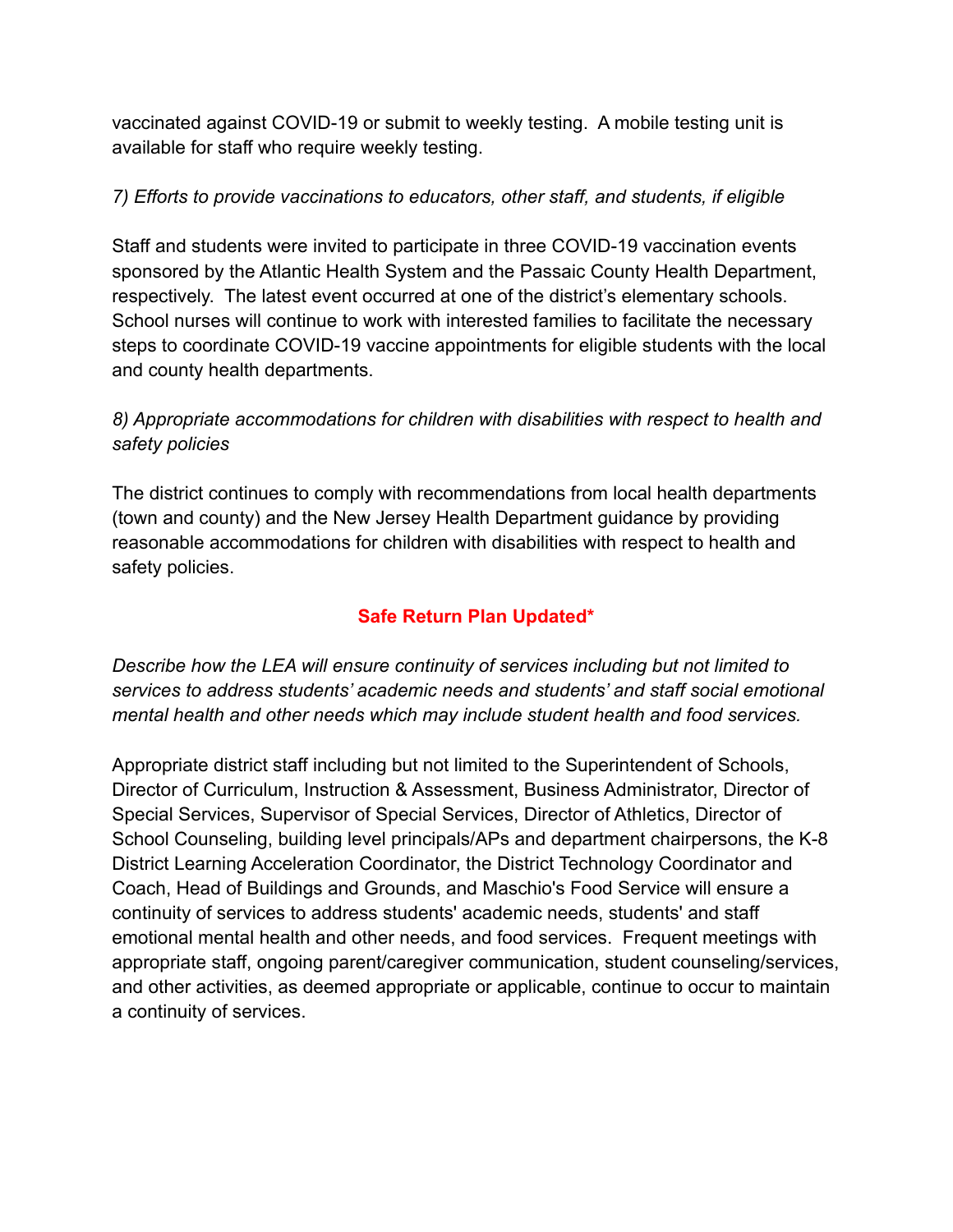vaccinated against COVID-19 or submit to weekly testing. A mobile testing unit is available for staff who require weekly testing.

#### *7) Efforts to provide vaccinations to educators, other staff, and students, if eligible*

Staff and students were invited to participate in three COVID-19 vaccination events sponsored by the Atlantic Health System and the Passaic County Health Department, respectively. The latest event occurred at one of the district's elementary schools. School nurses will continue to work with interested families to facilitate the necessary steps to coordinate COVID-19 vaccine appointments for eligible students with the local and county health departments.

# *8) Appropriate accommodations for children with disabilities with respect to health and safety policies*

The district continues to comply with recommendations from local health departments (town and county) and the New Jersey Health Department guidance by providing reasonable accommodations for children with disabilities with respect to health and safety policies.

# **Safe Return Plan Updated\***

*Describe how the LEA will ensure continuity of services including but not limited to services to address students' academic needs and students' and staff social emotional mental health and other needs which may include student health and food services.*

Appropriate district staff including but not limited to the Superintendent of Schools, Director of Curriculum, Instruction & Assessment, Business Administrator, Director of Special Services, Supervisor of Special Services, Director of Athletics, Director of School Counseling, building level principals/APs and department chairpersons, the K-8 District Learning Acceleration Coordinator, the District Technology Coordinator and Coach, Head of Buildings and Grounds, and Maschio's Food Service will ensure a continuity of services to address students' academic needs, students' and staff emotional mental health and other needs, and food services. Frequent meetings with appropriate staff, ongoing parent/caregiver communication, student counseling/services, and other activities, as deemed appropriate or applicable, continue to occur to maintain a continuity of services.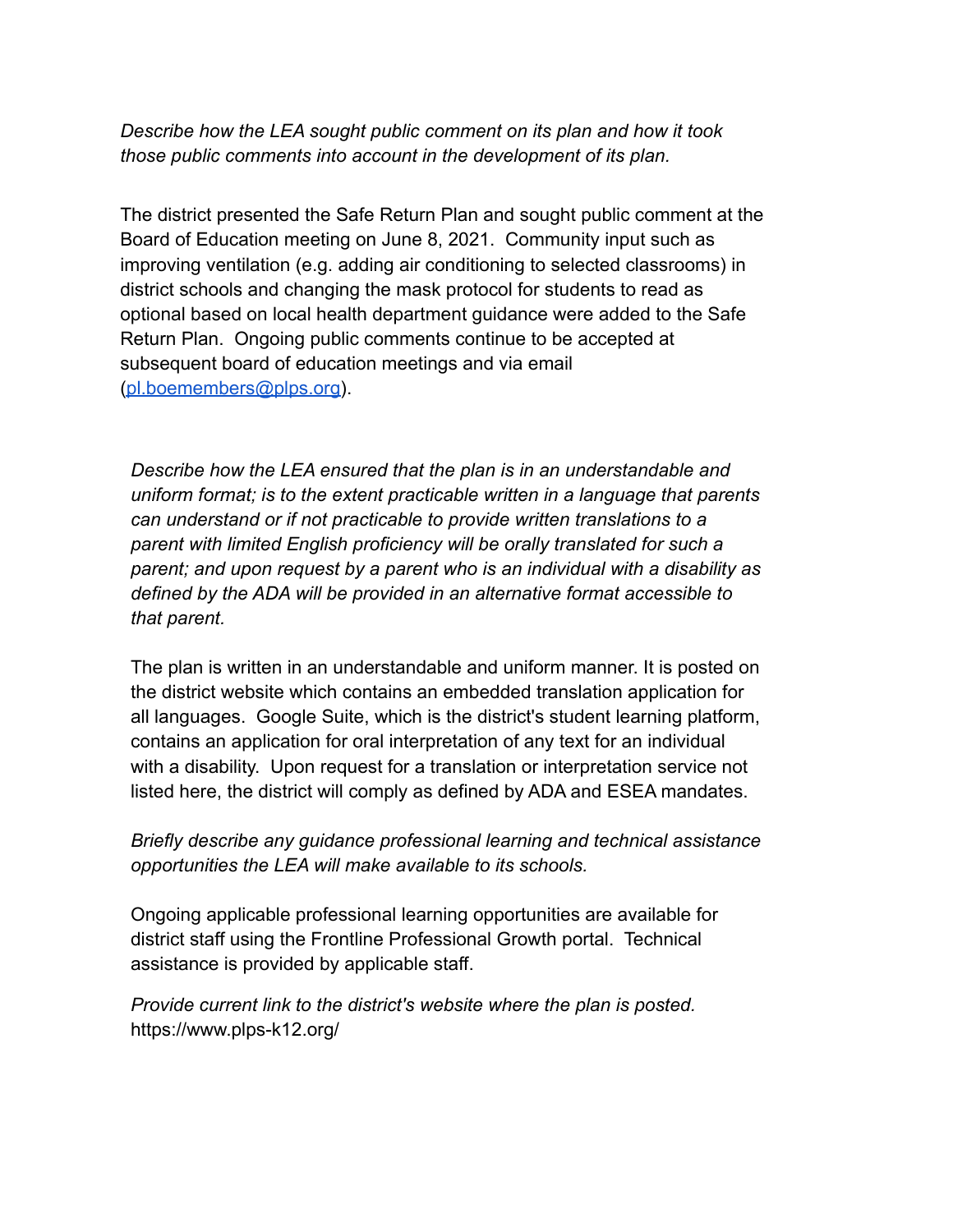*Describe how the LEA sought public comment on its plan and how it took those public comments into account in the development of its plan.*

The district presented the Safe Return Plan and sought public comment at the Board of Education meeting on June 8, 2021. Community input such as improving ventilation (e.g. adding air conditioning to selected classrooms) in district schools and changing the mask protocol for students to read as optional based on local health department guidance were added to the Safe Return Plan. Ongoing public comments continue to be accepted at subsequent board of education meetings and via email [\(pl.boemembers@plps.org\)](mailto:pl.boemembers@plps.org).

*Describe how the LEA ensured that the plan is in an understandable and uniform format; is to the extent practicable written in a language that parents can understand or if not practicable to provide written translations to a parent with limited English proficiency will be orally translated for such a parent; and upon request by a parent who is an individual with a disability as defined by the ADA will be provided in an alternative format accessible to that parent.*

The plan is written in an understandable and uniform manner. It is posted on the district website which contains an embedded translation application for all languages. Google Suite, which is the district's student learning platform, contains an application for oral interpretation of any text for an individual with a disability. Upon request for a translation or interpretation service not listed here, the district will comply as defined by ADA and ESEA mandates.

*Briefly describe any guidance professional learning and technical assistance opportunities the LEA will make available to its schools.*

Ongoing applicable professional learning opportunities are available for district staff using the Frontline Professional Growth portal. Technical assistance is provided by applicable staff.

*Provide current link to the district's website where the plan is posted.* https://www.plps-k12.org/